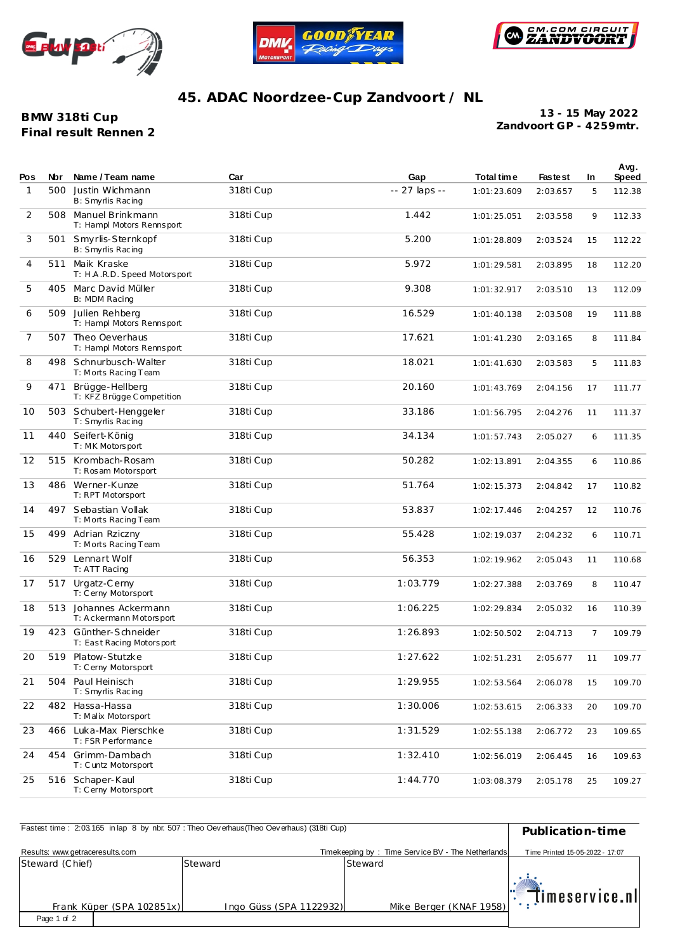





## **45. ADAC Noordzee-Cup Zandvoort / NL**

**BMW 318ti Cup Final result Rennen 2** **Zandvoort GP - 4259mtr. 13 - 15 May 2022**

| Pos            | Nbr | Name / Team name                                   | Car       | Gap           | Total time  | <b>Fastest</b> | <b>In</b>      | Avg.<br><b>Speed</b> |
|----------------|-----|----------------------------------------------------|-----------|---------------|-------------|----------------|----------------|----------------------|
| $\mathbf{1}$   | 500 | Justin Wichmann<br>B: Smyrlis Racing               | 318ti Cup | -- 27 laps -- | 1:01:23.609 | 2:03.657       | 5              | 112.38               |
| 2              | 508 | Manuel Brinkmann<br>T: Hampl Motors Rennsport      | 318ti Cup | 1.442         | 1:01:25.051 | 2:03.558       | 9              | 112.33               |
| 3              | 501 | Smyrlis-Sternkopf<br>B: Smyrlis Racing             | 318ti Cup | 5.200         | 1:01:28.809 | 2:03.524       | 15             | 112.22               |
| 4              |     | 511 Maik Kraske<br>T: H.A.R.D. Speed Motorsport    | 318ti Cup | 5.972         | 1:01:29.581 | 2:03.895       | 18             | 112.20               |
| 5              |     | 405 Marc David Müller<br>B: MDM Racing             | 318ti Cup | 9.308         | 1:01:32.917 | 2:03.510       | 13             | 112.09               |
| 6              | 509 | Julien Rehberg<br>T: Hampl Motors Rennsport        | 318ti Cup | 16.529        | 1:01:40.138 | 2:03.508       | 19             | 111.88               |
| $\overline{7}$ | 507 | Theo Oeverhaus<br>T: Hampl Motors Rennsport        | 318ti Cup | 17.621        | 1:01:41.230 | 2:03.165       | 8              | 111.84               |
| 8              |     | 498 Schnurbusch-Walter<br>T: Morts Racing Team     | 318ti Cup | 18.021        | 1:01:41.630 | 2:03.583       | 5              | 111.83               |
| 9              | 471 | Brügge-Hellberg<br>T: KFZ Brügge Competition       | 318ti Cup | 20.160        | 1:01:43.769 | 2:04.156       | 17             | 111.77               |
| 10             |     | 503 Schubert-Henggeler<br>T: Smyrlis Racing        | 318ti Cup | 33.186        | 1:01:56.795 | 2:04.276       | 11             | 111.37               |
| 11             | 440 | Seifert-König<br>T: MK Motors port                 | 318ti Cup | 34.134        | 1:01:57.743 | 2:05.027       | 6              | 111.35               |
| 12             | 515 | Krombach-Rosam<br>T: Rosam Motorsport              | 318ti Cup | 50.282        | 1:02:13.891 | 2:04.355       | 6              | 110.86               |
| 13             |     | 486 Werner-Kunze<br>T: RPT Motorsport              | 318ti Cup | 51.764        | 1:02:15.373 | 2:04.842       | 17             | 110.82               |
| 14             | 497 | Sebastian Vollak<br>T: Morts Racing Team           | 318ti Cup | 53.837        | 1:02:17.446 | 2:04.257       | 12             | 110.76               |
| 15             | 499 | Adrian Rziczny<br>T: Morts Racing Team             | 318ti Cup | 55.428        | 1:02:19.037 | 2:04.232       | 6              | 110.71               |
| 16             | 529 | Lennart Wolf<br>T: ATT Racing                      | 318ti Cup | 56.353        | 1:02:19.962 | 2:05.043       | 11             | 110.68               |
| 17             | 517 | Urgatz-Cerny<br>T: Cerny Motorsport                | 318ti Cup | 1:03.779      | 1:02:27.388 | 2:03.769       | 8              | 110.47               |
| 18             | 513 | Johannes Ackermann<br>T: A c kermann Motors port   | 318ti Cup | 1:06.225      | 1:02:29.834 | 2:05.032       | 16             | 110.39               |
| 19             |     | 423 Günther-Schneider<br>T: East Racing Motorsport | 318ti Cup | 1:26.893      | 1:02:50.502 | 2:04.713       | $\overline{7}$ | 109.79               |
| 20             | 519 | Platow-Stutzke<br>T: Cerny Motorsport              | 318ti Cup | 1:27.622      | 1:02:51.231 | 2:05.677       | 11             | 109.77               |
| 21             | 504 | Paul Heinisch<br>T: Smyrlis Racing                 | 318ti Cup | 1:29.955      | 1:02:53.564 | 2:06.078       | 15             | 109.70               |
| 22             |     | 482 Hassa-Hassa<br>T: Malix Motorsport             | 318ti Cup | 1:30.006      | 1:02:53.615 | 2:06.333       | 20             | 109.70               |
| 23             | 466 | Luka-Max Pierschke<br>T: FSR Performance           | 318ti Cup | 1:31.529      | 1:02:55.138 | 2:06.772       | 23             | 109.65               |
| 24             | 454 | Grimm-Dambach<br>T: C untz Motorsport              | 318ti Cup | 1:32.410      | 1:02:56.019 | 2:06.445       | 16             | 109.63               |
| 25             | 516 | Schaper-Kaul<br>T: Cerny Motorsport                | 318ti Cup | 1:44.770      | 1:03:08.379 | 2:05.178       | 25             | 109.27               |

| Fastest time: 2:03.165 in lap 8 by nbr. 507: Theo Oeverhaus (Theo Oeverhaus) (318ti Cup) | Publication-time        |                                                   |                                 |
|------------------------------------------------------------------------------------------|-------------------------|---------------------------------------------------|---------------------------------|
| Results: www.getraceresults.com                                                          |                         | Timekeeping by: Time Service BV - The Netherlands | Time Printed 15-05-2022 - 17:07 |
| Steward (Chief)                                                                          | Steward                 | Steward                                           |                                 |
| Frank Küper (SPA 102851x)                                                                | Ingo Güss (SPA 1122932) | Mike Berger (KNAF 1958)                           | timeservice.nl                  |
| Page 1 of 2                                                                              |                         |                                                   |                                 |